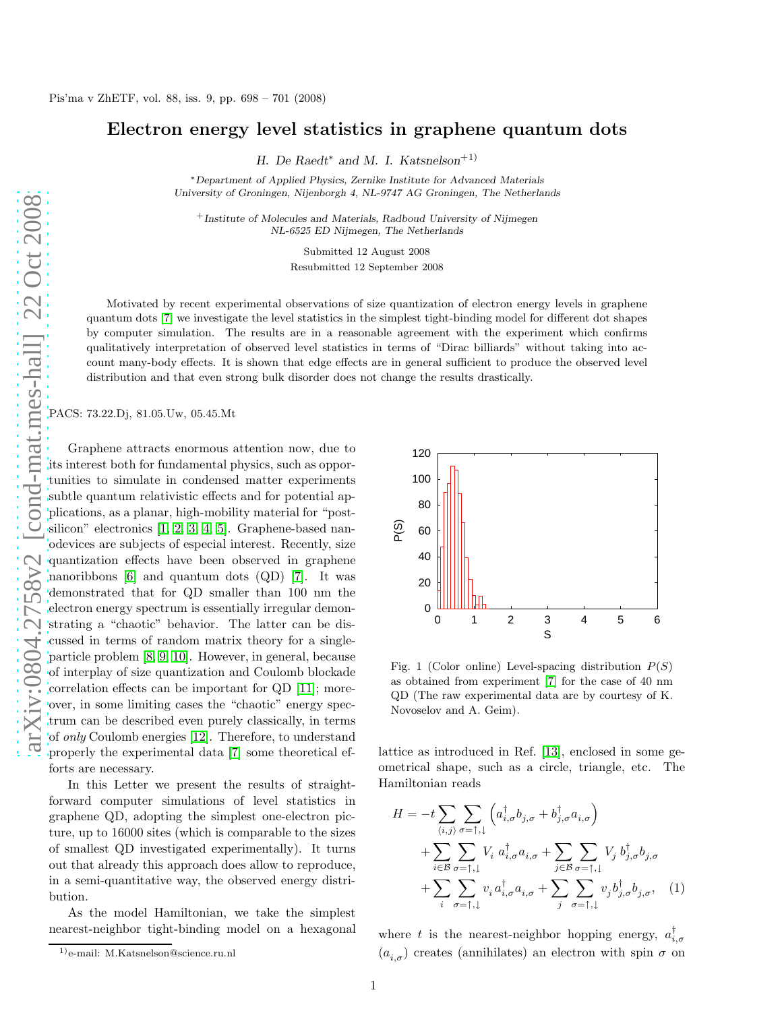## Electron energy level statistics in graphene quantum dots

H. De Raedt<sup>\*</sup> and M. I. Katsnelson<sup>+1)</sup>

<sup>∗</sup>Department of Applied Physics, Zernike Institute for Advanced Materials University of Groningen, Nijenborgh 4, NL-9747 AG Groningen, The Netherlands

<sup>+</sup>Institute of Molecules and Materials, Radboud University of Nijmegen NL-6525 ED Nijmegen, The Netherlands

Submitted 12 August 2008

Resubmitted 12 September 2008

Motivated by recent experimental observations of size quantization of electron energy levels in graphene quantum dots [\[7\]](#page-3-0) we investigate the level statistics in the simplest tight-binding model for different dot shapes by computer simulation. The results are in a reasonable agreement with the experiment which confirms qualitatively interpretation of observed level statistics in terms of "Dirac billiards" without taking into account many-body effects. It is shown that edge effects are in general sufficient to produce the observed level distribution and that even strong bulk disorder does not change the results drastically.

PACS: 73.22.Dj, 81.05.Uw, 05.45.Mt

Graphene attracts enormous attention now, due to its interest both for fundamental physics, such as opportunities to simulate in condensed matter experiments subtle quantum relativistic effects and for potential applications, as a planar, high-mobility material for "postsilicon" electronics [\[1,](#page-3-1) [2,](#page-3-2) [3,](#page-3-3) [4,](#page-3-4) [5\]](#page-3-5). Graphene-based nanodevices are subjects of especial interest. Recently, size quantization effects have been observed in graphene nanoribbons  $[6]$  and quantum dots  $(QD)$   $[7]$ . It was demonstrated that for QD smaller than 100 nm the electron energy spectrum is essentially irregular demonstrating a "chaotic" behavior. The latter can be discussed in terms of random matrix theory for a singleparticle problem [\[8,](#page-3-7) [9,](#page-3-8) [10\]](#page-3-9). However, in general, because of interplay of size quantization and Coulomb blockade correlation effects can be important for QD [\[11\]](#page-3-10); moreover, in some limiting cases the "chaotic" energy spectrum can be described even purely classically, in terms of only Coulomb energies [\[12\]](#page-3-11). Therefore, to understand properly the experimental data [\[7\]](#page-3-0) some theoretical efforts are necessary.

In this Letter we present the results of straightforward computer simulations of level statistics in graphene QD, adopting the simplest one-electron picture, up to 16000 sites (which is comparable to the sizes of smallest QD investigated experimentally). It turns out that already this approach does allow to reproduce, in a semi-quantitative way, the observed energy distribution.

As the model Hamiltonian, we take the simplest nearest-neighbor tight-binding model on a hexagonal



<span id="page-0-1"></span>Fig. 1 (Color online) Level-spacing distribution  $P(S)$ as obtained from experiment [\[7\]](#page-3-0) for the case of 40 nm QD (The raw experimental data are by courtesy of K. Novoselov and A. Geim).

lattice as introduced in Ref. [\[13\]](#page-3-12), enclosed in some geometrical shape, such as a circle, triangle, etc. The Hamiltonian reads

<span id="page-0-0"></span>
$$
H = -t \sum_{\langle i,j \rangle} \sum_{\sigma=\uparrow, \downarrow} \left( a_{i,\sigma}^{\dagger} b_{j,\sigma} + b_{j,\sigma}^{\dagger} a_{i,\sigma} \right) + \sum_{i \in \mathcal{B}} \sum_{\sigma=\uparrow, \downarrow} V_i \ a_{i,\sigma}^{\dagger} a_{i,\sigma} + \sum_{j \in \mathcal{B}} \sum_{\sigma=\uparrow, \downarrow} V_j \ b_{j,\sigma}^{\dagger} b_{j,\sigma} \right) + \sum_{i} \sum_{\sigma=\uparrow, \downarrow} v_i a_{i,\sigma}^{\dagger} a_{i,\sigma} + \sum_{j} \sum_{\sigma=\uparrow, \downarrow} v_j b_{j,\sigma}^{\dagger} b_{j,\sigma}, \quad (1)
$$

where t is the nearest-neighbor hopping energy,  $a_{i,\sigma}^{\dagger}$  $(a_{i,\sigma})$  creates (annihilates) an electron with spin  $\sigma$  on

<sup>1)</sup>e-mail: M.Katsnelson@science.ru.nl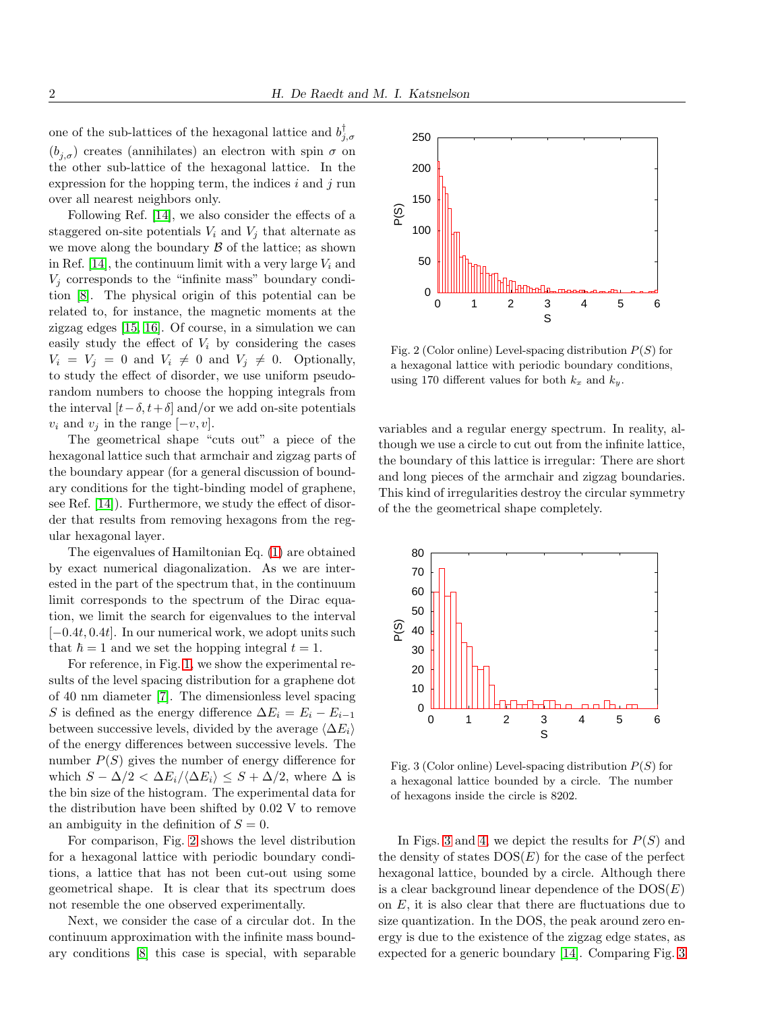one of the sub-lattices of the hexagonal lattice and  $b_{j,\sigma}^{\dagger}$  $(b_{i,\sigma})$  creates (annihilates) an electron with spin  $\sigma$  on the other sub-lattice of the hexagonal lattice. In the expression for the hopping term, the indices  $i$  and  $j$  run over all nearest neighbors only.

Following Ref. [\[14\]](#page-3-13), we also consider the effects of a staggered on-site potentials  $V_i$  and  $V_j$  that alternate as we move along the boundary  $\beta$  of the lattice; as shown in Ref. [\[14\]](#page-3-13), the continuum limit with a very large  $V_i$  and  $V_j$  corresponds to the "infinite mass" boundary condition [\[8\]](#page-3-7). The physical origin of this potential can be related to, for instance, the magnetic moments at the zigzag edges [\[15,](#page-3-14) [16\]](#page-3-15). Of course, in a simulation we can easily study the effect of  $V_i$  by considering the cases  $V_i = V_j = 0$  and  $V_i \neq 0$  and  $V_j \neq 0$ . Optionally, to study the effect of disorder, we use uniform pseudorandom numbers to choose the hopping integrals from the interval  $[t-\delta, t+\delta]$  and/or we add on-site potentials  $v_i$  and  $v_j$  in the range  $[-v, v]$ .

The geometrical shape "cuts out" a piece of the hexagonal lattice such that armchair and zigzag parts of the boundary appear (for a general discussion of boundary conditions for the tight-binding model of graphene, see Ref. [\[14\]](#page-3-13)). Furthermore, we study the effect of disorder that results from removing hexagons from the regular hexagonal layer.

The eigenvalues of Hamiltonian Eq. [\(1\)](#page-0-0) are obtained by exact numerical diagonalization. As we are interested in the part of the spectrum that, in the continuum limit corresponds to the spectrum of the Dirac equation, we limit the search for eigenvalues to the interval  $[-0.4t, 0.4t]$ . In our numerical work, we adopt units such that  $\hbar = 1$  and we set the hopping integral  $t = 1$ .

For reference, in Fig. [1,](#page-0-1) we show the experimental results of the level spacing distribution for a graphene dot of 40 nm diameter [\[7\]](#page-3-0). The dimensionless level spacing S is defined as the energy difference  $\Delta E_i = E_i - E_{i-1}$ between successive levels, divided by the average  $\langle \Delta E_i \rangle$ of the energy differences between successive levels. The number  $P(S)$  gives the number of energy difference for which  $S - \Delta/2 < \Delta E_i / \langle \Delta E_i \rangle \leq S + \Delta/2$ , where  $\Delta$  is the bin size of the histogram. The experimental data for the distribution have been shifted by 0.02 V to remove an ambiguity in the definition of  $S = 0$ .

For comparison, Fig. [2](#page-1-0) shows the level distribution for a hexagonal lattice with periodic boundary conditions, a lattice that has not been cut-out using some geometrical shape. It is clear that its spectrum does not resemble the one observed experimentally.

Next, we consider the case of a circular dot. In the continuum approximation with the infinite mass boundary conditions [\[8\]](#page-3-7) this case is special, with separable



<span id="page-1-0"></span>Fig. 2 (Color online) Level-spacing distribution  $P(S)$  for a hexagonal lattice with periodic boundary conditions, using 170 different values for both  $k_x$  and  $k_y$ .

variables and a regular energy spectrum. In reality, although we use a circle to cut out from the infinite lattice, the boundary of this lattice is irregular: There are short and long pieces of the armchair and zigzag boundaries. This kind of irregularities destroy the circular symmetry of the the geometrical shape completely.



<span id="page-1-1"></span>Fig. 3 (Color online) Level-spacing distribution  $P(S)$  for a hexagonal lattice bounded by a circle. The number of hexagons inside the circle is 8202.

In Figs. [3](#page-1-1) and [4,](#page-2-0) we depict the results for  $P(S)$  and the density of states  $DOS(E)$  for the case of the perfect hexagonal lattice, bounded by a circle. Although there is a clear background linear dependence of the  $DOS(E)$ on E, it is also clear that there are fluctuations due to size quantization. In the DOS, the peak around zero energy is due to the existence of the zigzag edge states, as expected for a generic boundary [\[14\]](#page-3-13). Comparing Fig. [3](#page-1-1)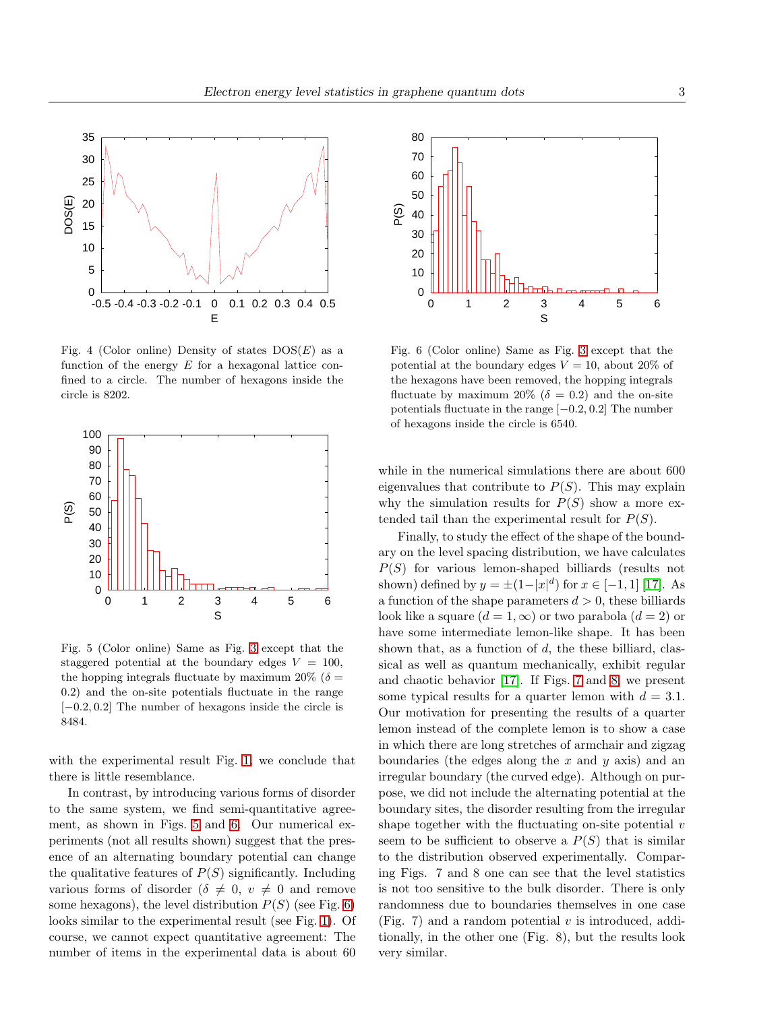

<span id="page-2-0"></span>Fig. 4 (Color online) Density of states  $DOS(E)$  as a function of the energy  $E$  for a hexagonal lattice confined to a circle. The number of hexagons inside the circle is 8202.



<span id="page-2-1"></span>Fig. 5 (Color online) Same as Fig. [3](#page-1-1) except that the staggered potential at the boundary edges  $V = 100$ , the hopping integrals fluctuate by maximum 20% ( $\delta =$ 0.2) and the on-site potentials fluctuate in the range [−0.2, 0.2] The number of hexagons inside the circle is 8484.

with the experimental result Fig. [1,](#page-0-1) we conclude that there is little resemblance.

In contrast, by introducing various forms of disorder to the same system, we find semi-quantitative agreement, as shown in Figs. [5](#page-2-1) and [6.](#page-2-2) Our numerical experiments (not all results shown) suggest that the presence of an alternating boundary potential can change the qualitative features of  $P(S)$  significantly. Including various forms of disorder ( $\delta \neq 0, v \neq 0$  and remove some hexagons), the level distribution  $P(S)$  (see Fig. [6\)](#page-2-2) looks similar to the experimental result (see Fig. [1\)](#page-0-1). Of course, we cannot expect quantitative agreement: The number of items in the experimental data is about 60



<span id="page-2-2"></span>Fig. 6 (Color online) Same as Fig. [3](#page-1-1) except that the potential at the boundary edges  $V = 10$ , about 20% of the hexagons have been removed, the hopping integrals fluctuate by maximum 20% ( $\delta = 0.2$ ) and the on-site potentials fluctuate in the range [−0.2, 0.2] The number of hexagons inside the circle is 6540.

while in the numerical simulations there are about 600 eigenvalues that contribute to  $P(S)$ . This may explain why the simulation results for  $P(S)$  show a more extended tail than the experimental result for  $P(S)$ .

Finally, to study the effect of the shape of the boundary on the level spacing distribution, we have calculates  $P(S)$  for various lemon-shaped billiards (results not shown) defined by  $y = \pm (1 - |x|^d)$  for  $x \in [-1, 1]$  [\[17\]](#page-3-16). As a function of the shape parameters  $d > 0$ , these billiards look like a square  $(d = 1, \infty)$  or two parabola  $(d = 2)$  or have some intermediate lemon-like shape. It has been shown that, as a function of  $d$ , the these billiard, classical as well as quantum mechanically, exhibit regular and chaotic behavior [\[17\]](#page-3-16). If Figs. [7](#page-3-17) and [8,](#page-3-18) we present some typical results for a quarter lemon with  $d = 3.1$ . Our motivation for presenting the results of a quarter lemon instead of the complete lemon is to show a case in which there are long stretches of armchair and zigzag boundaries (the edges along the  $x$  and  $y$  axis) and an irregular boundary (the curved edge). Although on purpose, we did not include the alternating potential at the boundary sites, the disorder resulting from the irregular shape together with the fluctuating on-site potential  $v$ seem to be sufficient to observe a  $P(S)$  that is similar to the distribution observed experimentally. Comparing Figs. 7 and 8 one can see that the level statistics is not too sensitive to the bulk disorder. There is only randomness due to boundaries themselves in one case (Fig. 7) and a random potential  $v$  is introduced, additionally, in the other one (Fig. 8), but the results look very similar.